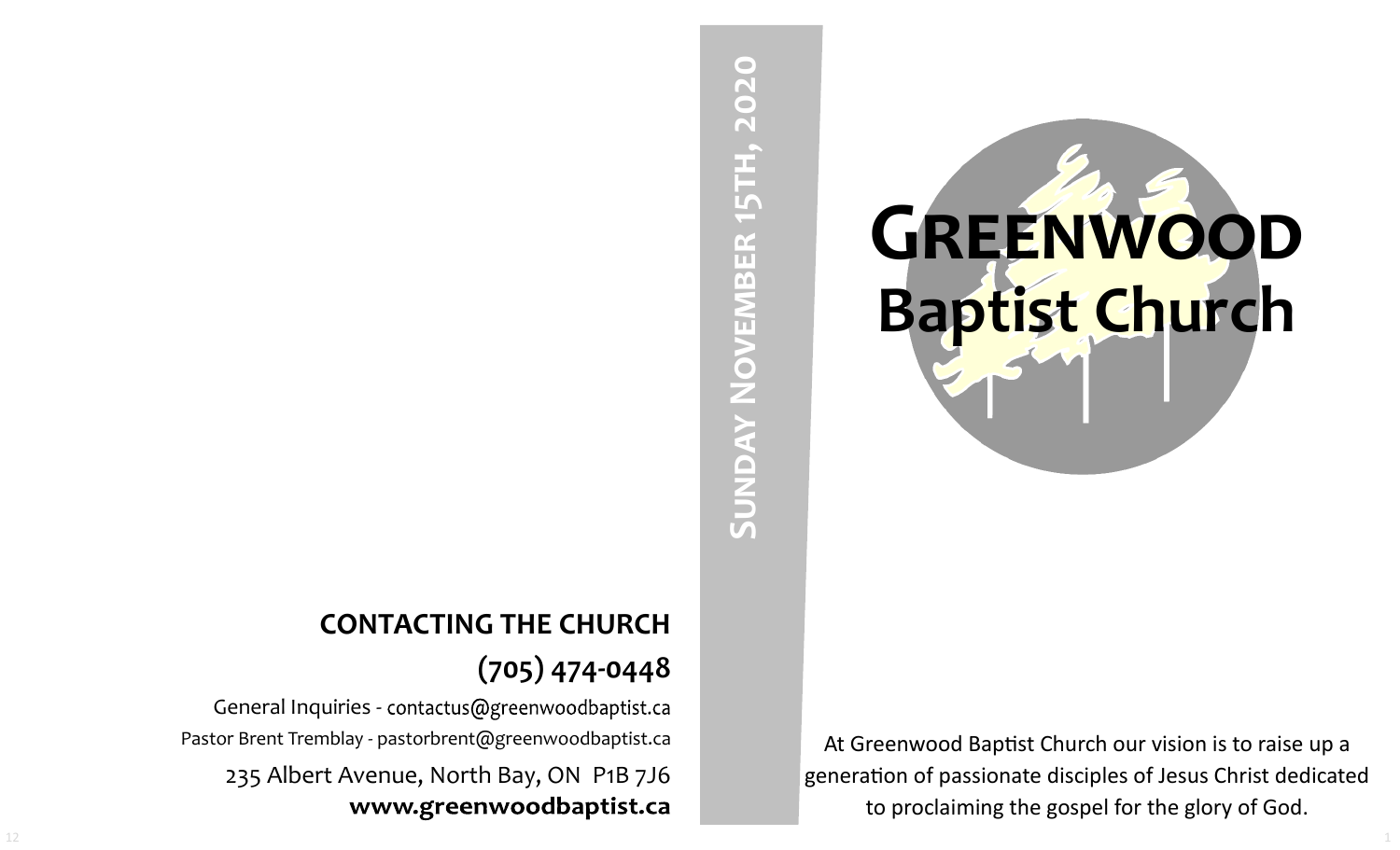

At Greenwood Baptist Church our vision is to raise up a generation of passionate disciples of Jesus Christ dedicated to proclaiming the gospel for the glory of God.

# SUNDAY NOVEMBER 15TH, 2020 **Sunday November 15th, 2020**

# **CONTACTING THE CHURCH (705) 474-0448**

General Inquiries - contactus@greenwoodbaptist.ca Pastor Brent Tremblay - pastorbrent@greenwoodbaptist.ca 235 Albert Avenue, North Bay, ON P1B 7J6 www.greenwoodbaptist.ca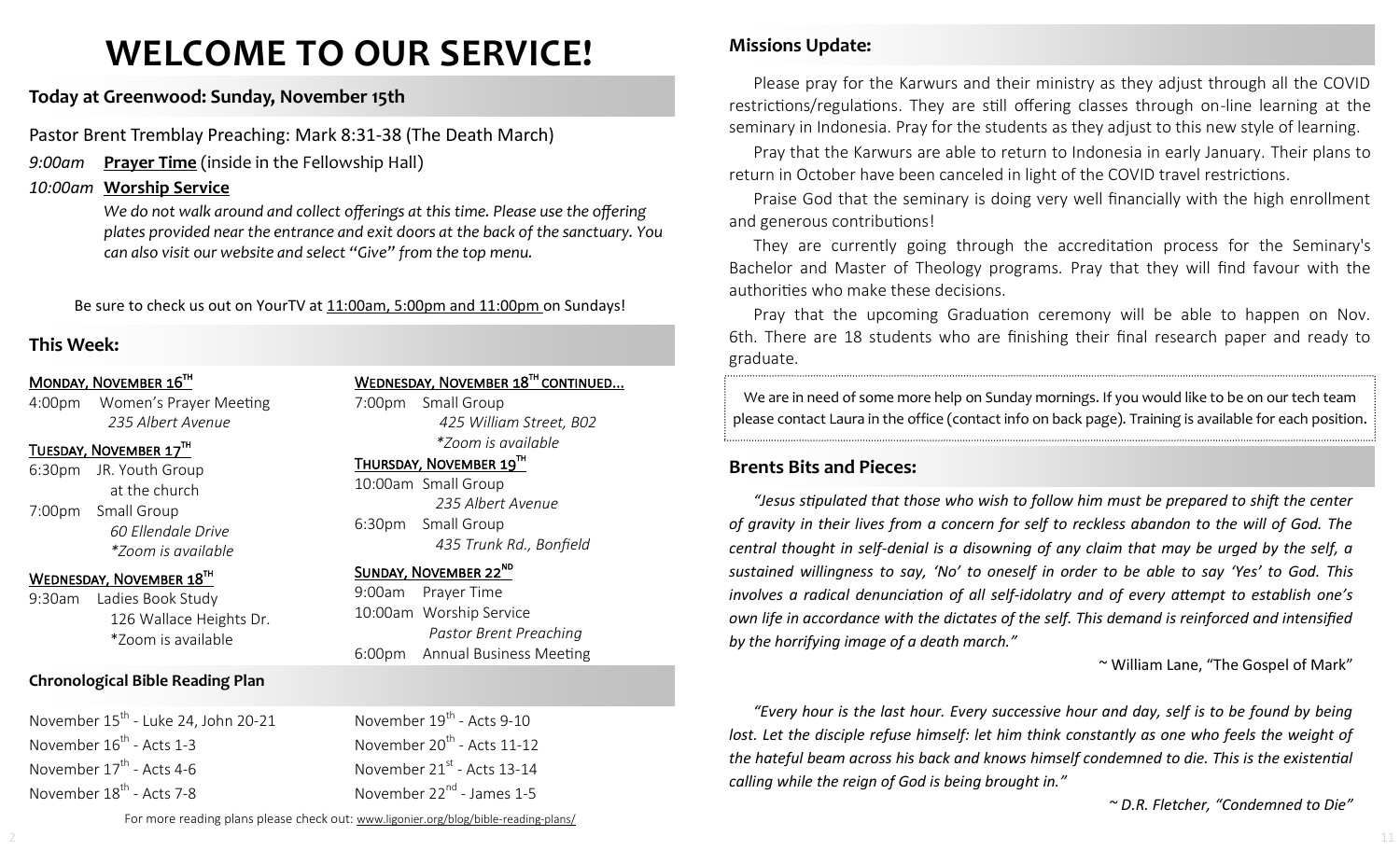# **WELCOME TO OUR SERVICE!**

### **Today at Greenwood: Sunday, November 15th**

Pastor Brent Tremblay Preaching: Mark 8:31-38 (The Death March)

*9:00am* **Prayer Time** (inside in the Fellowship Hall)

### *10:00am* **Worship Service**

*We do not walk around and collect offerings at this time. Please use the offering plates provided near the entrance and exit doors at the back of the sanctuary. You can also visit our website and select "Give" from the top menu.*

Be sure to check us out on YourTV at 11:00am, 5:00pm and 11:00pm on Sundays!

### **This Week:**

### MONDAY, NOVEMBER 16TH

4:00pm Women's Prayer Meeting *235 Albert Avenue*

### TUESDAY, NOVEMBER 17TH

6:30pm JR. Youth Group at the church 7:00pm Small Group *60 Ellendale Drive \*Zoom is available*

### WEDNESDAY, NOVEMBER 18TH

9:30am Ladies Book Study 126 Wallace Heights Dr. \*Zoom is available

### **Chronological Bible Reading Plan**

November 15<sup>th</sup> - Luke 24, John 20-21 November 16<sup>th</sup> - Acts 1-3 November 17<sup>th</sup> - Acts 4-6 November 18<sup>th</sup> - Acts 7-8

WEDNESDAY, NOVEMBER 18<sup>TH</sup> CONTINUED...

7:00pm Small Group *425 William Street, B02 \*Zoom is available* 

 $\tt{THURSDAY}$ , NOVEMBER 19 $^{\tt{TH}}$ 

10:00am Small Group *235 Albert Avenue* 6:30pm Small Group *435 Trunk Rd., Bonfield*

### SUNDAY, NOVEMBER 22<sup>ND</sup>

9:00am Prayer Time 10:00am Worship Service *Pastor Brent Preaching* 6:00pm Annual Business Meeting

November 19<sup>th</sup> - Acts 9-10 November 20<sup>th</sup> - Acts 11-12 November 21<sup>st</sup> - Acts 13-14 November 22<sup>nd</sup> - James 1-5

### **Missions Update:**

Please pray for the Karwurs and their ministry as they adjust through all the COVID restrictions/regulations. They are still offering classes through on-line learning at the seminary in Indonesia. Pray for the students as they adjust to this new style of learning.

Pray that the Karwurs are able to return to Indonesia in early January. Their plans to return in October have been canceled in light of the COVID travel restrictions.

Praise God that the seminary is doing very well financially with the high enrollment and generous contributions!

They are currently going through the accreditation process for the Seminary's Bachelor and Master of Theology programs. Pray that they will find favour with the authorities who make these decisions.

Pray that the upcoming Graduation ceremony will be able to happen on Nov. 6th. There are 18 students who are finishing their final research paper and ready to graduate.

We are in need of some more help on Sunday mornings. If you would like to be on our tech team please contact Laura in the office (contact info on back page). Training is available for each position.

### **Brents Bits and Pieces:**

*"Jesus stipulated that those who wish to follow him must be prepared to shift the center of gravity in their lives from a concern for self to reckless abandon to the will of God. The central thought in self-denial is a disowning of any claim that may be urged by the self, a sustained willingness to say, 'No' to oneself in order to be able to say 'Yes' to God. This involves a radical denunciation of all self-idolatry and of every attempt to establish one's own life in accordance with the dictates of the self. This demand is reinforced and intensified by the horrifying image of a death march."*

~ William Lane, "The Gospel of Mark"

*"Every hour is the last hour. Every successive hour and day, self is to be found by being lost. Let the disciple refuse himself: let him think constantly as one who feels the weight of the hateful beam across his back and knows himself condemned to die. This is the existential calling while the reign of God is being brought in."* 

*~ D.R. Fletcher, "Condemned to Die"*

For more reading plans please check out: www.ligonier.org/blog/bible-reading-plans/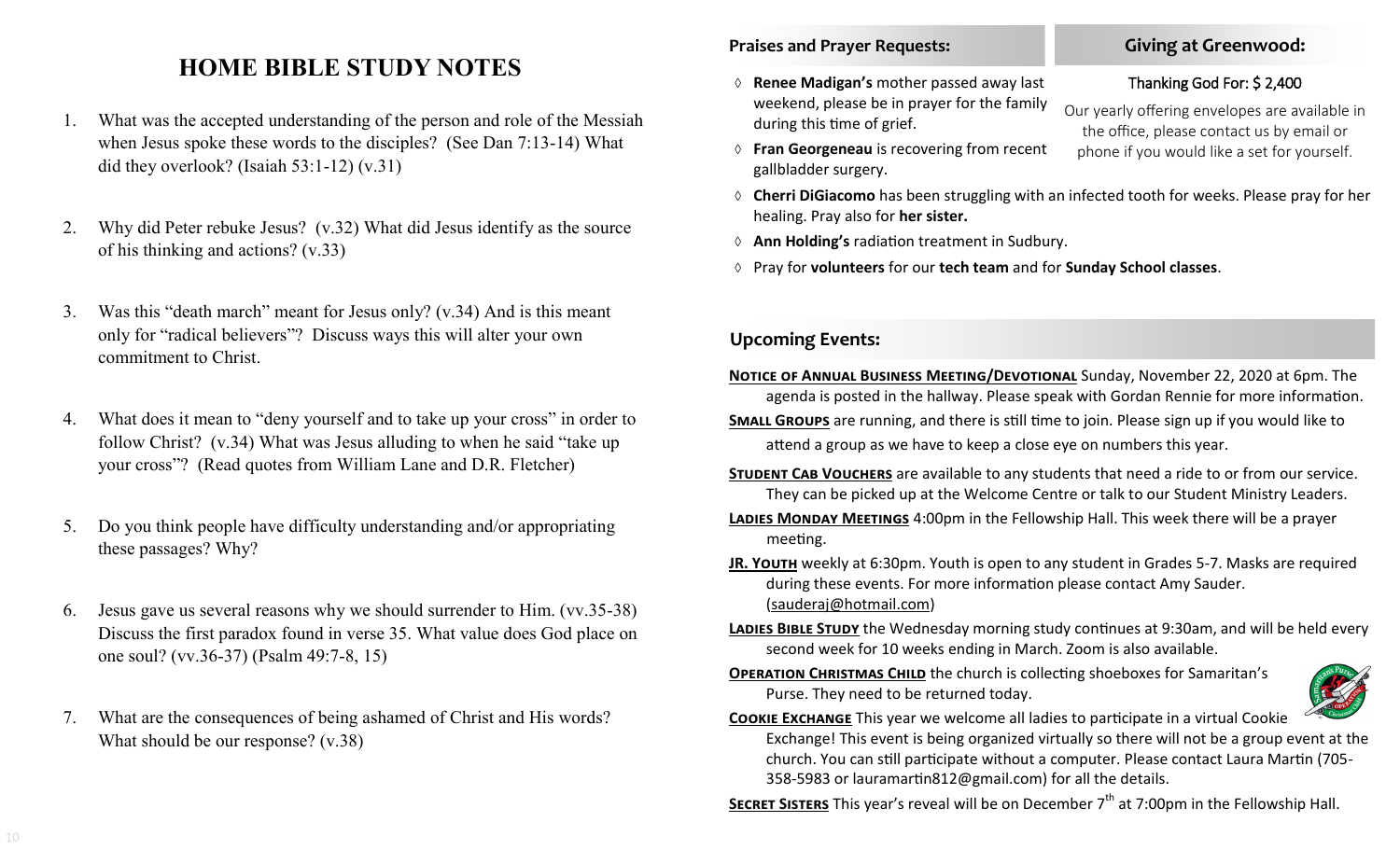## **HOME BIBLE STUDY NOTES**

- 1. What was the accepted understanding of the person and role of the Messiah when Jesus spoke these words to the disciples? (See Dan 7:13-14) What did they overlook? (Isaiah 53:1-12) (v.31)
- 2. Why did Peter rebuke Jesus? (v.32) What did Jesus identify as the source of his thinking and actions? (v.33)
- 3. Was this "death march" meant for Jesus only? (v.34) And is this meant only for "radical believers"? Discuss ways this will alter your own commitment to Christ.
- 4. What does it mean to "deny yourself and to take up your cross" in order to follow Christ? (v.34) What was Jesus alluding to when he said "take up your cross"? (Read quotes from William Lane and D.R. Fletcher)
- 5. Do you think people have difficulty understanding and/or appropriating these passages? Why?
- 6. Jesus gave us several reasons why we should surrender to Him. (vv.35-38) Discuss the first paradox found in verse 35. What value does God place on one soul? (vv.36-37) (Psalm 49:7-8, 15)
- 7. What are the consequences of being ashamed of Christ and His words? What should be our response? (v.38)

### **Praises and Prayer Requests:**

- **Renee Madigan's** mother passed away last weekend, please be in prayer for the family during this time of grief.
- **Fran Georgeneau** is recovering from recent gallbladder surgery.
- **Cherri DiGiacomo** has been struggling with an infected tooth for weeks. Please pray for her healing. Pray also for **her sister.**
- **Ann Holding's** radiation treatment in Sudbury.
- Pray for **volunteers** for our **tech team** and for **Sunday School classes**.

### **Upcoming Events:**

- **Notice of Annual Business Meeting/Devotional** Sunday, November 22, 2020 at 6pm. The agenda is posted in the hallway. Please speak with Gordan Rennie for more information.
- **Small Groups** are running, and there is still time to join. Please sign up if you would like to attend a group as we have to keep a close eye on numbers this year.
- **STUDENT CAB VOUCHERS** are available to any students that need a ride to or from our service. They can be picked up at the Welcome Centre or talk to our Student Ministry Leaders.
- **Ladies Monday Meetings** 4:00pm in the Fellowship Hall. This week there will be a prayer meeting.
- **JR. YOUTH** weekly at 6:30pm. Youth is open to any student in Grades 5-7. Masks are required during these events. For more information please contact Amy Sauder. (sauderaj@hotmail.com)
- **Ladies Bible Study** the Wednesday morning study continues at 9:30am, and will be held every second week for 10 weeks ending in March. Zoom is also available.
- **OPERATION CHRISTMAS CHILD** the church is collecting shoeboxes for Samaritan's Purse. They need to be returned today.



### **Cookie Exchange** This year we welcome all ladies to participate in a virtual Cookie Exchange! This event is being organized virtually so there will not be a group event at the church. You can still participate without a computer. Please contact Laura Martin (705- 358-5983 or lauramartin812@gmail.com) for all the details.

**SECRET SISTERS** This year's reveal will be on December 7<sup>th</sup> at 7:00pm in the Fellowship Hall.

### Our yearly offering envelopes are available in the office, please contact us by email or phone if you would like a set for yourself.

Thanking God For: \$ 2,400

**Giving at Greenwood:**